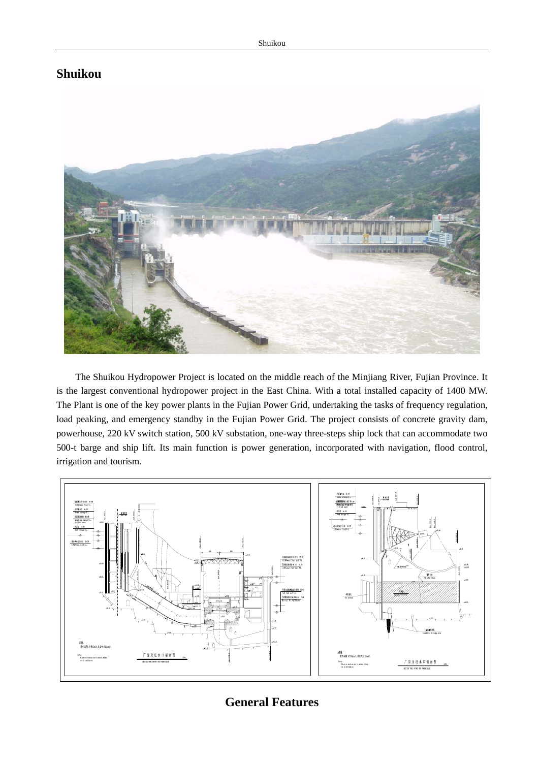## **Shuikou**



The Shuikou Hydropower Project is located on the middle reach of the Minjiang River, Fujian Province. It is the largest conventional hydropower project in the East China. With a total installed capacity of 1400 MW. The Plant is one of the key power plants in the Fujian Power Grid, undertaking the tasks of frequency regulation, load peaking, and emergency standby in the Fujian Power Grid. The project consists of concrete gravity dam, powerhouse, 220 kV switch station, 500 kV substation, one-way three-steps ship lock that can accommodate two 500-t barge and ship lift. Its main function is power generation, incorporated with navigation, flood control, irrigation and tourism.



## **General Features**